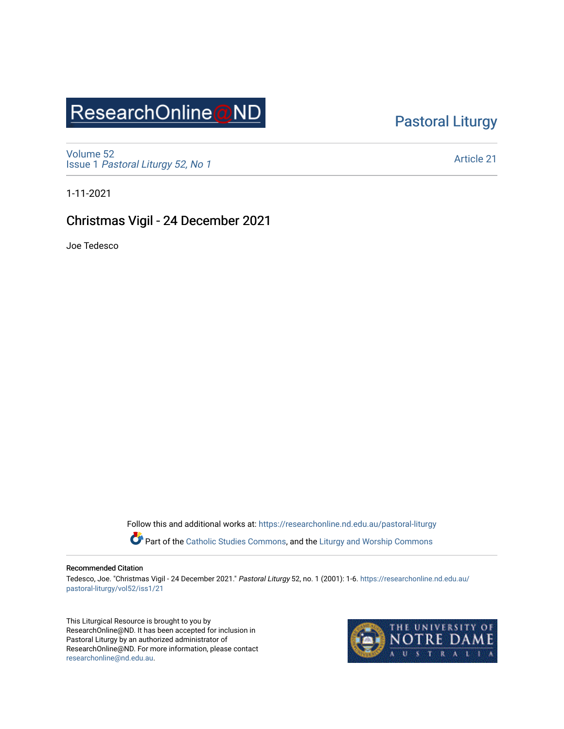# ResearchOnline@ND

### [Pastoral Liturgy](https://researchonline.nd.edu.au/pastoral-liturgy)

[Volume 52](https://researchonline.nd.edu.au/pastoral-liturgy/vol52) Issue 1 [Pastoral Liturgy 52, No 1](https://researchonline.nd.edu.au/pastoral-liturgy/vol52/iss1)

[Article 21](https://researchonline.nd.edu.au/pastoral-liturgy/vol52/iss1/21) 

1-11-2021

### Christmas Vigil - 24 December 2021

Joe Tedesco

Follow this and additional works at: [https://researchonline.nd.edu.au/pastoral-liturgy](https://researchonline.nd.edu.au/pastoral-liturgy?utm_source=researchonline.nd.edu.au%2Fpastoral-liturgy%2Fvol52%2Fiss1%2F21&utm_medium=PDF&utm_campaign=PDFCoverPages)

Part of the [Catholic Studies Commons,](http://network.bepress.com/hgg/discipline/1294?utm_source=researchonline.nd.edu.au%2Fpastoral-liturgy%2Fvol52%2Fiss1%2F21&utm_medium=PDF&utm_campaign=PDFCoverPages) and the Liturgy and Worship Commons

#### Recommended Citation

Tedesco, Joe. "Christmas Vigil - 24 December 2021." Pastoral Liturgy 52, no. 1 (2001): 1-6. [https://researchonline.nd.edu.au/](https://researchonline.nd.edu.au/pastoral-liturgy/vol52/iss1/21?utm_source=researchonline.nd.edu.au%2Fpastoral-liturgy%2Fvol52%2Fiss1%2F21&utm_medium=PDF&utm_campaign=PDFCoverPages) [pastoral-liturgy/vol52/iss1/21](https://researchonline.nd.edu.au/pastoral-liturgy/vol52/iss1/21?utm_source=researchonline.nd.edu.au%2Fpastoral-liturgy%2Fvol52%2Fiss1%2F21&utm_medium=PDF&utm_campaign=PDFCoverPages) 

This Liturgical Resource is brought to you by ResearchOnline@ND. It has been accepted for inclusion in Pastoral Liturgy by an authorized administrator of ResearchOnline@ND. For more information, please contact [researchonline@nd.edu.au.](mailto:researchonline@nd.edu.au)

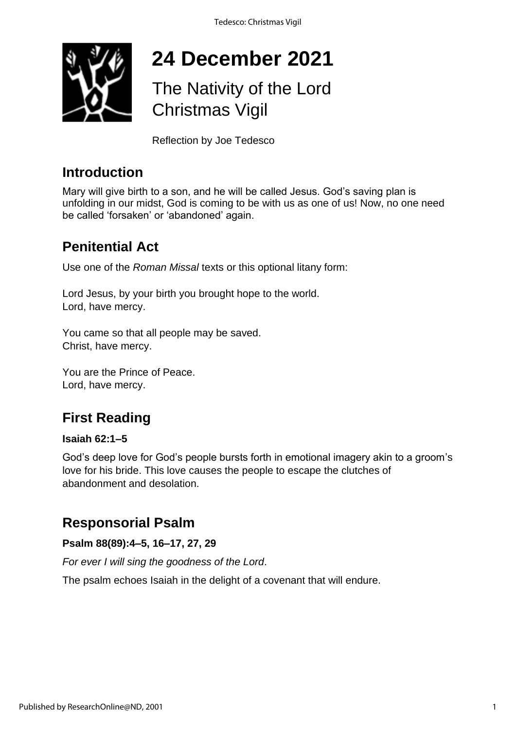

# **24 December 2021**

# The Nativity of the Lord Christmas Vigil

Reflection by Joe Tedesco

### **Introduction**

Mary will give birth to a son, and he will be called Jesus. God's saving plan is unfolding in our midst, God is coming to be with us as one of us! Now, no one need be called 'forsaken' or 'abandoned' again.

### **Penitential Act**

Use one of the *Roman Missal* texts or this optional litany form:

Lord Jesus, by your birth you brought hope to the world. Lord, have mercy.

You came so that all people may be saved. Christ, have mercy.

You are the Prince of Peace. Lord, have mercy.

### **First Reading**

### **Isaiah 62:1–5**

God's deep love for God's people bursts forth in emotional imagery akin to a groom's love for his bride. This love causes the people to escape the clutches of abandonment and desolation.

### **Responsorial Psalm**

**Psalm 88(89):4–5, 16–17, 27, 29**

*For ever I will sing the goodness of the Lord*.

The psalm echoes Isaiah in the delight of a covenant that will endure.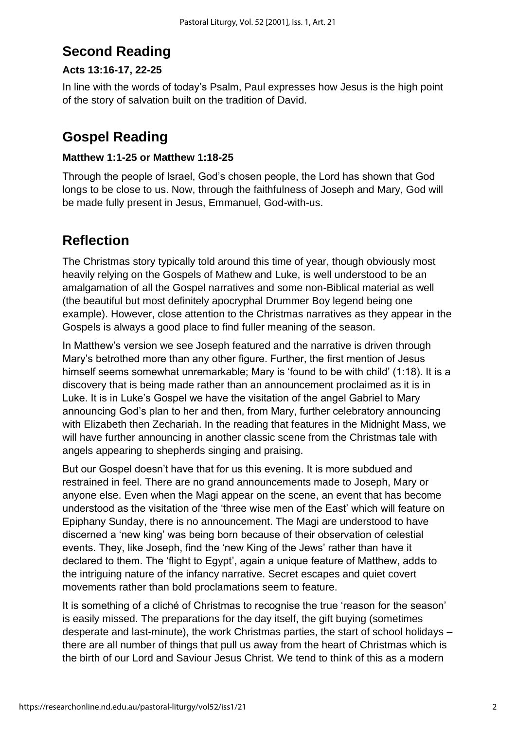### **Second Reading**

### **Acts 13:16-17, 22-25**

In line with the words of today's Psalm, Paul expresses how Jesus is the high point of the story of salvation built on the tradition of David.

### **Gospel Reading**

#### **Matthew 1:1-25 or Matthew 1:18-25**

Through the people of Israel, God's chosen people, the Lord has shown that God longs to be close to us. Now, through the faithfulness of Joseph and Mary, God will be made fully present in Jesus, Emmanuel, God-with-us.

### **Reflection**

The Christmas story typically told around this time of year, though obviously most heavily relying on the Gospels of Mathew and Luke, is well understood to be an amalgamation of all the Gospel narratives and some non-Biblical material as well (the beautiful but most definitely apocryphal Drummer Boy legend being one example). However, close attention to the Christmas narratives as they appear in the Gospels is always a good place to find fuller meaning of the season.

In Matthew's version we see Joseph featured and the narrative is driven through Mary's betrothed more than any other figure. Further, the first mention of Jesus himself seems somewhat unremarkable; Mary is 'found to be with child' (1:18). It is a discovery that is being made rather than an announcement proclaimed as it is in Luke. It is in Luke's Gospel we have the visitation of the angel Gabriel to Mary announcing God's plan to her and then, from Mary, further celebratory announcing with Elizabeth then Zechariah. In the reading that features in the Midnight Mass, we will have further announcing in another classic scene from the Christmas tale with angels appearing to shepherds singing and praising.

But our Gospel doesn't have that for us this evening. It is more subdued and restrained in feel. There are no grand announcements made to Joseph, Mary or anyone else. Even when the Magi appear on the scene, an event that has become understood as the visitation of the 'three wise men of the East' which will feature on Epiphany Sunday, there is no announcement. The Magi are understood to have discerned a 'new king' was being born because of their observation of celestial events. They, like Joseph, find the 'new King of the Jews' rather than have it declared to them. The 'flight to Egypt', again a unique feature of Matthew, adds to the intriguing nature of the infancy narrative. Secret escapes and quiet covert movements rather than bold proclamations seem to feature.

It is something of a cliché of Christmas to recognise the true 'reason for the season' is easily missed. The preparations for the day itself, the gift buying (sometimes desperate and last-minute), the work Christmas parties, the start of school holidays – there are all number of things that pull us away from the heart of Christmas which is the birth of our Lord and Saviour Jesus Christ. We tend to think of this as a modern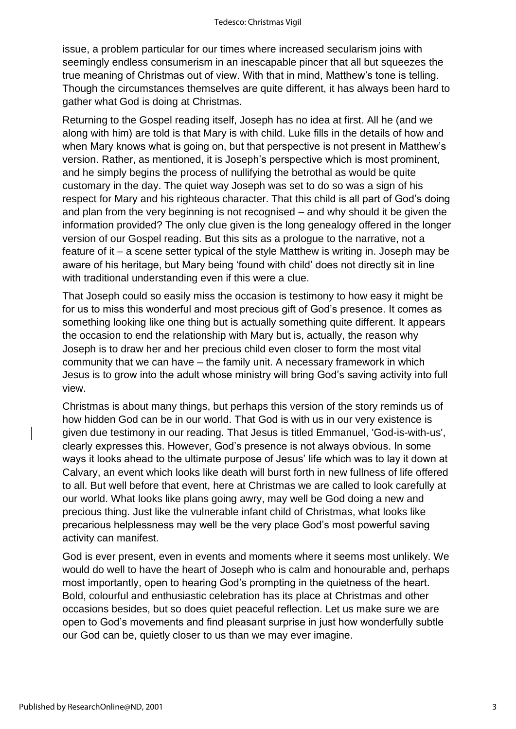issue, a problem particular for our times where increased secularism joins with seemingly endless consumerism in an inescapable pincer that all but squeezes the true meaning of Christmas out of view. With that in mind, Matthew's tone is telling. Though the circumstances themselves are quite different, it has always been hard to gather what God is doing at Christmas.

Returning to the Gospel reading itself, Joseph has no idea at first. All he (and we along with him) are told is that Mary is with child. Luke fills in the details of how and when Mary knows what is going on, but that perspective is not present in Matthew's version. Rather, as mentioned, it is Joseph's perspective which is most prominent, and he simply begins the process of nullifying the betrothal as would be quite customary in the day. The quiet way Joseph was set to do so was a sign of his respect for Mary and his righteous character. That this child is all part of God's doing and plan from the very beginning is not recognised – and why should it be given the information provided? The only clue given is the long genealogy offered in the longer version of our Gospel reading. But this sits as a prologue to the narrative, not a feature of it – a scene setter typical of the style Matthew is writing in. Joseph may be aware of his heritage, but Mary being 'found with child' does not directly sit in line with traditional understanding even if this were a clue.

That Joseph could so easily miss the occasion is testimony to how easy it might be for us to miss this wonderful and most precious gift of God's presence. It comes as something looking like one thing but is actually something quite different. It appears the occasion to end the relationship with Mary but is, actually, the reason why Joseph is to draw her and her precious child even closer to form the most vital community that we can have – the family unit. A necessary framework in which Jesus is to grow into the adult whose ministry will bring God's saving activity into full view.

Christmas is about many things, but perhaps this version of the story reminds us of how hidden God can be in our world. That God is with us in our very existence is given due testimony in our reading. That Jesus is titled Emmanuel, 'God-is-with-us', clearly expresses this. However, God's presence is not always obvious. In some ways it looks ahead to the ultimate purpose of Jesus' life which was to lay it down at Calvary, an event which looks like death will burst forth in new fullness of life offered to all. But well before that event, here at Christmas we are called to look carefully at our world. What looks like plans going awry, may well be God doing a new and precious thing. Just like the vulnerable infant child of Christmas, what looks like precarious helplessness may well be the very place God's most powerful saving activity can manifest.

God is ever present, even in events and moments where it seems most unlikely. We would do well to have the heart of Joseph who is calm and honourable and, perhaps most importantly, open to hearing God's prompting in the quietness of the heart. Bold, colourful and enthusiastic celebration has its place at Christmas and other occasions besides, but so does quiet peaceful reflection. Let us make sure we are open to God's movements and find pleasant surprise in just how wonderfully subtle our God can be, quietly closer to us than we may ever imagine.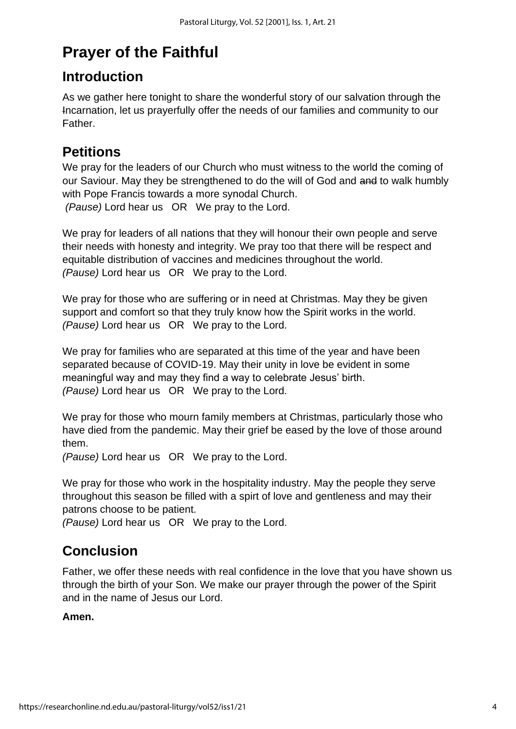# **Prayer of the Faithful**

### **Introduction**

As we gather here tonight to share the wonderful story of our salvation through the Incarnation, let us prayerfully offer the needs of our families and community to our Father.

### **Petitions**

We pray for the leaders of our Church who must witness to the world the coming of our Saviour. May they be strengthened to do the will of God and and to walk humbly with Pope Francis towards a more synodal Church. *(Pause)* Lord hear us OR We pray to the Lord.

We pray for leaders of all nations that they will honour their own people and serve their needs with honesty and integrity. We pray too that there will be respect and equitable distribution of vaccines and medicines throughout the world. *(Pause)* Lord hear us OR We pray to the Lord.

We pray for those who are suffering or in need at Christmas. May they be given support and comfort so that they truly know how the Spirit works in the world. *(Pause)* Lord hear us OR We pray to the Lord.

We pray for families who are separated at this time of the year and have been separated because of COVID-19. May their unity in love be evident in some meaningful way and may they find a way to celebrate Jesus' birth. *(Pause)* Lord hear us OR We pray to the Lord.

We pray for those who mourn family members at Christmas, particularly those who have died from the pandemic. May their grief be eased by the love of those around them.

*(Pause)* Lord hear us OR We pray to the Lord.

We pray for those who work in the hospitality industry. May the people they serve throughout this season be filled with a spirt of love and gentleness and may their patrons choose to be patient.

*(Pause)* Lord hear us OR We pray to the Lord.

### **Conclusion**

Father, we offer these needs with real confidence in the love that you have shown us through the birth of your Son. We make our prayer through the power of the Spirit and in the name of Jesus our Lord.

### **Amen.**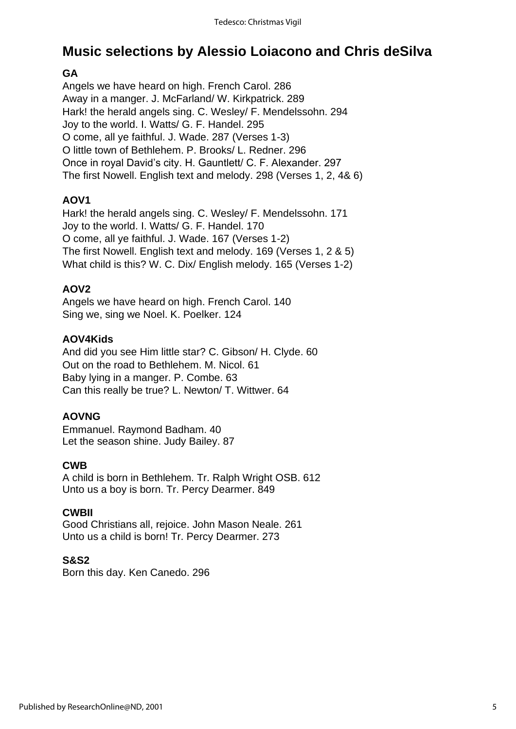## **Music selections by Alessio Loiacono and Chris deSilva**

### **GA**

Angels we have heard on high. French Carol. 286 Away in a manger. J. McFarland/ W. Kirkpatrick. 289 Hark! the herald angels sing. C. Wesley/ F. Mendelssohn. 294 Joy to the world. I. Watts/ G. F. Handel. 295 O come, all ye faithful. J. Wade. 287 (Verses 1-3) O little town of Bethlehem. P. Brooks/ L. Redner. 296 Once in royal David's city. H. Gauntlett/ C. F. Alexander. 297 The first Nowell. English text and melody. 298 (Verses 1, 2, 4& 6)

### **AOV1**

Hark! the herald angels sing. C. Wesley/ F. Mendelssohn. 171 Joy to the world. I. Watts/ G. F. Handel. 170 O come, all ye faithful. J. Wade. 167 (Verses 1-2) The first Nowell. English text and melody. 169 (Verses 1, 2 & 5) What child is this? W. C. Dix/ English melody. 165 (Verses 1-2)

### **AOV2**

Angels we have heard on high. French Carol. 140 Sing we, sing we Noel. K. Poelker. 124

### **AOV4Kids**

And did you see Him little star? C. Gibson/ H. Clyde. 60 Out on the road to Bethlehem. M. Nicol. 61 Baby lying in a manger. P. Combe. 63 Can this really be true? L. Newton/ T. Wittwer. 64

### **AOVNG**

Emmanuel. Raymond Badham. 40 Let the season shine. Judy Bailey. 87

### **CWB**

A child is born in Bethlehem. Tr. Ralph Wright OSB. 612 Unto us a boy is born. Tr. Percy Dearmer. 849

### **CWBII**

Good Christians all, rejoice. John Mason Neale. 261 Unto us a child is born! Tr. Percy Dearmer. 273

### **S&S2**

Born this day. Ken Canedo. 296